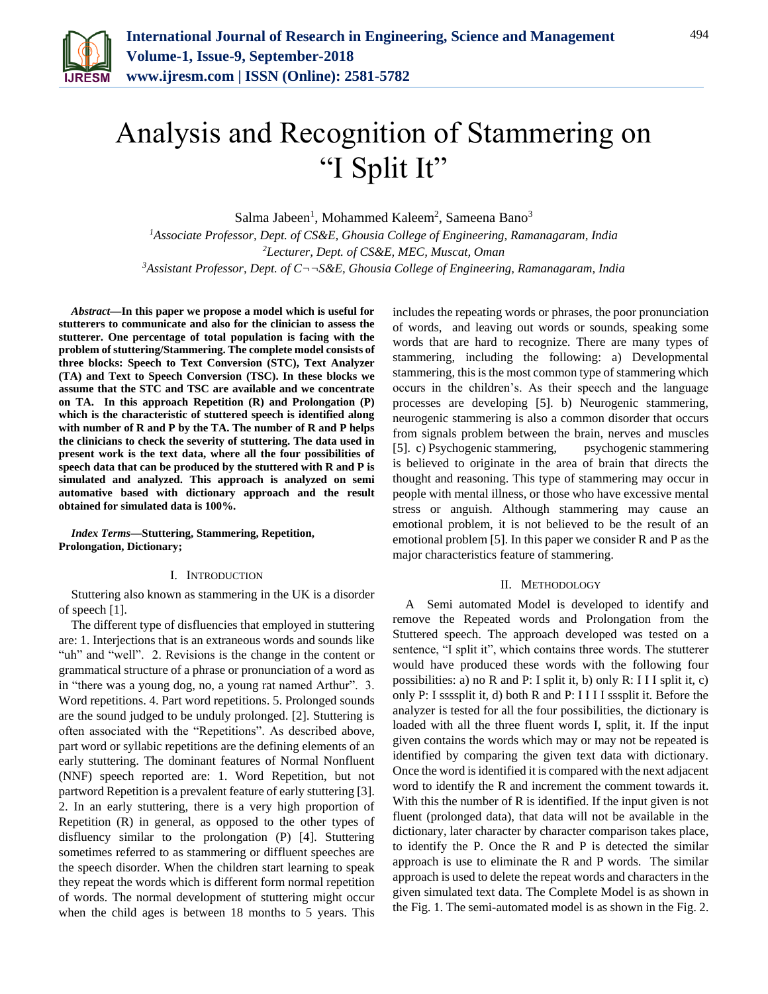

# Analysis and Recognition of Stammering on "I Split It"

Salma Jabeen<sup>1</sup>, Mohammed Kaleem<sup>2</sup>, Sameena Bano<sup>3</sup>

*<sup>1</sup>Associate Professor, Dept. of CS&E, Ghousia College of Engineering, Ramanagaram, India <sup>2</sup>Lecturer, Dept. of CS&E, MEC, Muscat, Oman 3Assistant Professor, Dept. of C¬¬S&E, Ghousia College of Engineering, Ramanagaram, India* 

*Abstract***—In this paper we propose a model which is useful for stutterers to communicate and also for the clinician to assess the stutterer. One percentage of total population is facing with the problem of stuttering/Stammering. The complete model consists of three blocks: Speech to Text Conversion (STC), Text Analyzer (TA) and Text to Speech Conversion (TSC). In these blocks we assume that the STC and TSC are available and we concentrate on TA. In this approach Repetition (R) and Prolongation (P) which is the characteristic of stuttered speech is identified along with number of R and P by the TA. The number of R and P helps the clinicians to check the severity of stuttering. The data used in present work is the text data, where all the four possibilities of speech data that can be produced by the stuttered with R and P is simulated and analyzed. This approach is analyzed on semi automative based with dictionary approach and the result obtained for simulated data is 100%.**

*Index Terms***—Stuttering, Stammering, Repetition, Prolongation, Dictionary;**

#### I. INTRODUCTION

Stuttering also known as stammering in the UK is a disorder of speech [1].

The different type of disfluencies that employed in stuttering are: 1. Interjections that is an extraneous words and sounds like "uh" and "well". 2. Revisions is the change in the content or grammatical structure of a phrase or pronunciation of a word as in "there was a young dog, no, a young rat named Arthur". 3. Word repetitions. 4. Part word repetitions. 5. Prolonged sounds are the sound judged to be unduly prolonged. [2]. Stuttering is often associated with the "Repetitions". As described above, part word or syllabic repetitions are the defining elements of an early stuttering. The dominant features of Normal Nonfluent (NNF) speech reported are: 1. Word Repetition, but not partword Repetition is a prevalent feature of early stuttering [3]. 2. In an early stuttering, there is a very high proportion of Repetition (R) in general, as opposed to the other types of disfluency similar to the prolongation (P) [4]. Stuttering sometimes referred to as stammering or diffluent speeches are the speech disorder. When the children start learning to speak they repeat the words which is different form normal repetition of words. The normal development of stuttering might occur when the child ages is between 18 months to 5 years. This includes the repeating words or phrases, the poor pronunciation of words, and leaving out words or sounds, speaking some words that are hard to recognize. There are many types of stammering, including the following: a) Developmental stammering, this is the most common type of stammering which occurs in the children's. As their speech and the language processes are developing [5]. b) Neurogenic stammering, neurogenic stammering is also a common disorder that occurs from signals problem between the brain, nerves and muscles [5]. c) Psychogenic stammering, psychogenic stammering is believed to originate in the area of brain that directs the thought and reasoning. This type of stammering may occur in people with mental illness, or those who have excessive mental stress or anguish. Although stammering may cause an emotional problem, it is not believed to be the result of an emotional problem [5]. In this paper we consider R and P as the major characteristics feature of stammering.

#### II. METHODOLOGY

A Semi automated Model is developed to identify and remove the Repeated words and Prolongation from the Stuttered speech. The approach developed was tested on a sentence, "I split it", which contains three words. The stutterer would have produced these words with the following four possibilities: a) no R and P: I split it, b) only R: I I I split it, c) only P: I ssssplit it, d) both R and P: I I I I sssplit it. Before the analyzer is tested for all the four possibilities, the dictionary is loaded with all the three fluent words I, split, it. If the input given contains the words which may or may not be repeated is identified by comparing the given text data with dictionary. Once the word is identified it is compared with the next adjacent word to identify the R and increment the comment towards it. With this the number of R is identified. If the input given is not fluent (prolonged data), that data will not be available in the dictionary, later character by character comparison takes place, to identify the P. Once the R and P is detected the similar approach is use to eliminate the R and P words. The similar approach is used to delete the repeat words and characters in the given simulated text data. The Complete Model is as shown in the Fig. 1. The semi-automated model is as shown in the Fig. 2.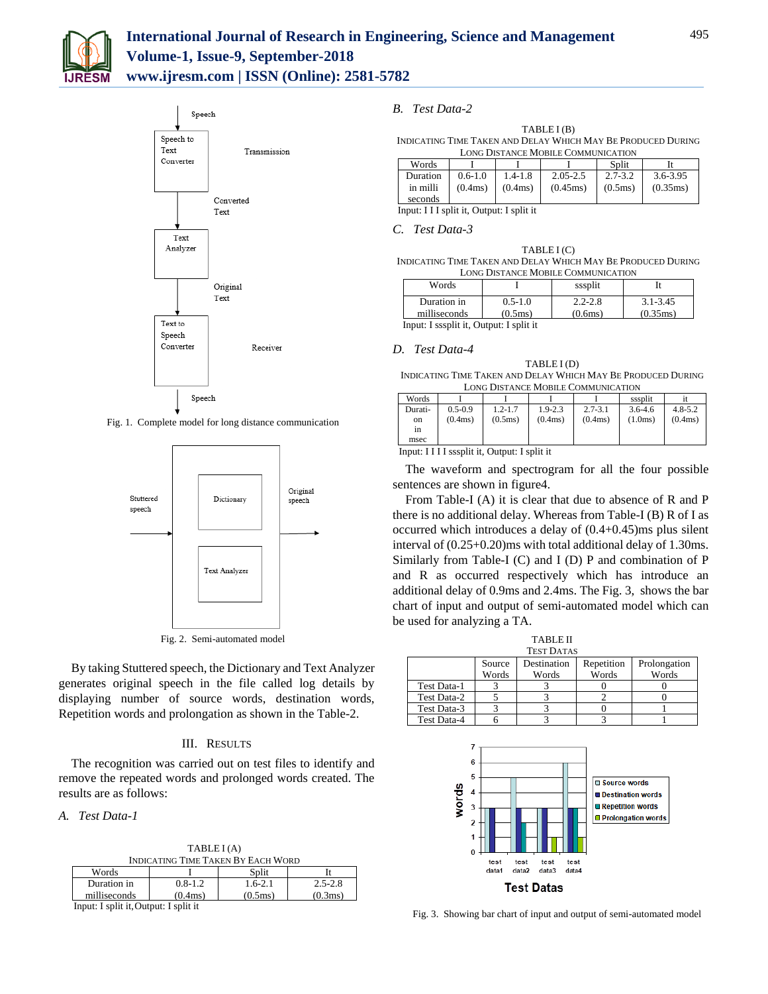



Fig. 1. Complete model for long distance communication



Fig. 2. Semi-automated model

By taking Stuttered speech, the Dictionary and Text Analyzer generates original speech in the file called log details by displaying number of source words, destination words, Repetition words and prolongation as shown in the Table-2.

## III. RESULTS

The recognition was carried out on test files to identify and remove the repeated words and prolonged words created. The results are as follows:

*A. Test Data-1*

TABLE I (A)

| INDICATING TIME TAKEN BY EACH WORD |             |                   |             |  |  |
|------------------------------------|-------------|-------------------|-------------|--|--|
| Words                              |             | Split             |             |  |  |
| Duration in                        | $0.8 - 1.2$ | $1.6 - 2.1$       | $2.5 - 2.8$ |  |  |
| milliseconds                       | (0.4ms)     | $(0.5 \text{ms})$ | (0.3ms)     |  |  |

Input: I split it,Output: I split it

## *B. Test Data-2*

TABLE I (B) INDICATING TIME TAKEN AND DELAY WHICH MAY BE PRODUCED DURING LONG DISTANCE MOBILE COMMUNICATION

| Words    |             |             |              | Split       |          |  |  |
|----------|-------------|-------------|--------------|-------------|----------|--|--|
| Duration | $0.6 - 1.0$ | $1.4 - 1.8$ | $2.05 - 2.5$ | $2.7 - 3.2$ | 3.6-3.95 |  |  |
| in milli | (0.4ms)     | (0.4ms)     | (0.45ms)     | (0.5ms)     | (0.35ms) |  |  |
| seconds  |             |             |              |             |          |  |  |

Input: I I I split it, Output: I split it

### *C. Test Data-3*

TABLE I (C) INDICATING TIME TAKEN AND DELAY WHICH MAY BE PRODUCED DURING LONG DISTANCE MOBILE COMMUNICATION

| Words                                   |             | sssplit     |              |  |  |
|-----------------------------------------|-------------|-------------|--------------|--|--|
| Duration in                             | $0.5 - 1.0$ | $2.2 - 2.8$ | $3.1 - 3.45$ |  |  |
| milliseconds                            | (0.5ms)     | (0.6ms)     | (0.35ms)     |  |  |
| Input: I sssplit it, Output: I split it |             |             |              |  |  |

*D. Test Data-4*

## TABLE I (D)

INDICATING TIME TAKEN AND DELAY WHICH MAY BE PRODUCED DURING LONG DISTANCE MOBILE COMMUNICATION

| Words   |             |             |             |             | sssplit     |             |
|---------|-------------|-------------|-------------|-------------|-------------|-------------|
| Durati- | $0.5 - 0.9$ | $1.2 - 1.7$ | $1.9 - 2.3$ | $2.7 - 3.1$ | $3.6 - 4.6$ | $4.8 - 5.2$ |
| on      | (0.4ms)     | (0.5ms)     | (0.4ms)     | (0.4ms)     | (1.0ms)     | (0.4ms)     |
| 1n      |             |             |             |             |             |             |
| msec    |             |             |             |             |             |             |

Input: I I I I sssplit it, Output: I split it

The waveform and spectrogram for all the four possible sentences are shown in figure4.

From Table-I (A) it is clear that due to absence of R and P there is no additional delay. Whereas from Table-I (B) R of I as occurred which introduces a delay of (0.4+0.45)ms plus silent interval of (0.25+0.20)ms with total additional delay of 1.30ms. Similarly from Table-I (C) and I (D) P and combination of P and R as occurred respectively which has introduce an additional delay of 0.9ms and 2.4ms. The Fig. 3, shows the bar chart of input and output of semi-automated model which can be used for analyzing a TA.

| <b>TABLE II</b>   |        |             |            |              |  |  |
|-------------------|--------|-------------|------------|--------------|--|--|
| <b>TEST DATAS</b> |        |             |            |              |  |  |
|                   | Source | Destination | Repetition | Prolongation |  |  |
|                   | Words  | Words       | Words      | Words        |  |  |
| Test Data-1       |        |             |            |              |  |  |
| Test Data-2       |        |             |            |              |  |  |
| Test Data-3       |        |             |            |              |  |  |
| Test Data-4       |        |             |            |              |  |  |



Fig. 3. Showing bar chart of input and output of semi-automated model